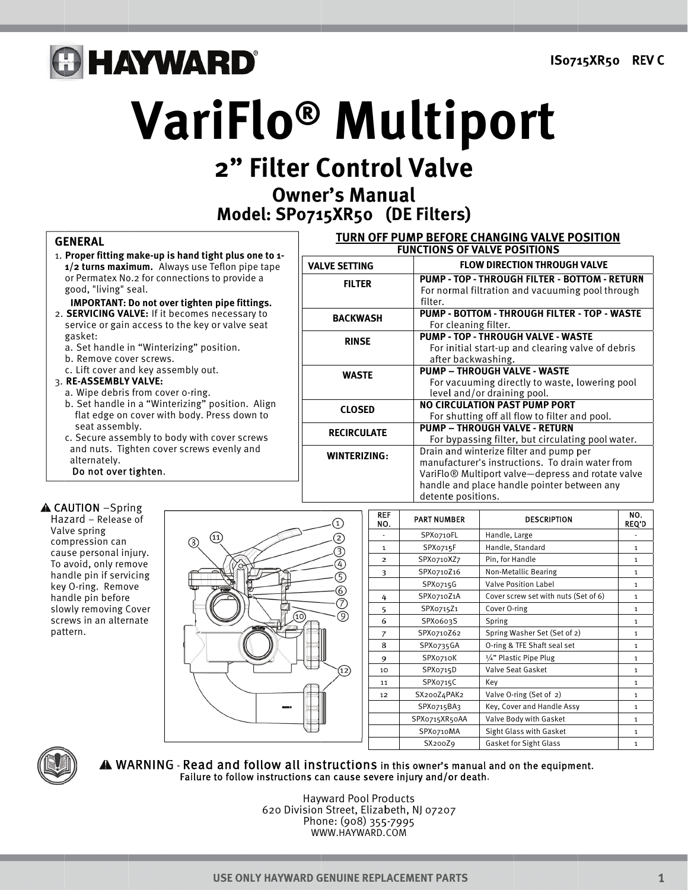## **B HAYWARD®**

# VariFlo<sup>®</sup> Multiport

## 2" Filter Control Valve **Owner's Manual**

Model: SP0715XR50 (DE Filters)

**VALVE SETTING** 

**FILTER** 

#### **GENERAL**

- 1. Proper fitting make-up is hand tight plus one to 1-1/2 turns maximum. Always use Teflon pipe tape or Permatex No.2 for connections to provide a good, "living" seal.
	- **IMPORTANT: Do not over tighten pipe fittings.**
- 2. SERVICING VALVE: If it becomes necessary to service or gain access to the key or valve seat gasket:
	- a. Set handle in "Winterizing" position.
	- b. Remove cover screws.
	- c. Lift cover and key assembly out.

#### 3. RE-ASSEMBLY VALVE:

- a. Wipe debris from cover o-ring.
- b. Set handle in a "Winterizing" position. Align<br>flat edge on cover with body. Press down to seat assembly.
- c. Secure assembly to body with cover screws and nuts. Tighten cover screws evenly and alternately. Do not over tighten.

**A CAUTION** -Spring Hazard - Release of Valve spring compression can cause personal injury. To avoid, only remove handle pin if servicing key O-ring. Remove handle pin before slowly removing Cover screws in an alternate pattern.



| <b>REF</b><br>NO. | <b>PART NUMBER</b> | <b>DESCRIPTION</b>                   | NO.<br><b>REQ'D</b> |
|-------------------|--------------------|--------------------------------------|---------------------|
|                   | SPX0710FL          | Handle, Large                        |                     |
| $\mathbf{1}$      | SPXo715F           | Handle, Standard                     | $\mathbf{1}$        |
| $\overline{2}$    | SPX0710XZ7         | Pin, for Handle                      | $\mathbf{1}$        |
| 3                 | SPX0710Z16         | <b>Non-Metallic Bearing</b>          | $\mathbf{1}$        |
|                   | SPXo715G           | <b>Valve Position Label</b>          | $\mathbf{1}$        |
| 4                 | SPX0710Z1A         | Cover screw set with nuts (Set of 6) | $\mathbf{1}$        |
| 5                 | SPX0715Z1          | Cover O-ring                         | $\mathbf{1}$        |
| 6                 | SPX0603S           | Spring                               | $\mathbf{1}$        |
| 7                 | SPX0710Z62         | Spring Washer Set (Set of 2)         | $\mathbf{1}$        |
| 8                 | SPX0735GA          | O-ring & TFE Shaft seal set          | $\mathbf{1}$        |
| 9                 | SPXo710K           | 1/4" Plastic Pipe Plug               | $\mathbf{1}$        |
| 10                | SPXo715D           | Valve Seat Gasket                    | $\mathbf{1}$        |
| 11                | SPXo715C           | Key                                  | $\mathbf{1}$        |
| 12                | SX200Z4PAK2        | Valve O-ring (Set of 2)              | $\mathbf{1}$        |
|                   | SPX0715BA3         | Key, Cover and Handle Assy           | $\mathbf{1}$        |
|                   | SPX0715XR50AA      | Valve Body with Gasket               | $\mathbf{1}$        |
|                   | SPXo710MA          | Sight Glass with Gasket              | $\mathbf{1}$        |
|                   | SX200Z9            | <b>Gasket for Sight Glass</b>        | $\mathbf{1}$        |



#### A WARNING - Read and follow all instructions in this owner's manual and on the equipment. Failure to follow instructions can cause severe injury and/or death.

**Hayward Pool Products** 620 Division Street, Elizabeth, NJ 07207 Phone: (908) 355-7995 WWW.HAYWARD.COM

| <b>BACKWASH</b> | PUMP - BOTTOM - THROUGH FILTER - TOP - WASTE<br>For cleaning filter.                                                 |  |  |
|-----------------|----------------------------------------------------------------------------------------------------------------------|--|--|
| <b>RINSE</b>    | <b>PUMP - TOP - THROUGH VALVE - WASTE</b><br>For initial start-up and clearing valve of debris<br>after backwashing. |  |  |
| <b>WASTE</b>    | <b>PUMP - THROUGH VALVE - WASTE</b>                                                                                  |  |  |

filter.

|                     | For initial start-up and clearing valve of debris             |
|---------------------|---------------------------------------------------------------|
|                     | after backwashing.                                            |
| <b>WASTE</b>        | <b>PUMP - THROUGH VALVE - WASTE</b>                           |
|                     | For vacuuming directly to waste, lowering pool                |
|                     | level and/or draining pool.                                   |
| <b>CLOSED</b>       | <b>NO CIRCULATION PAST PUMP PORT</b>                          |
|                     | For shutting off all flow to filter and pool.                 |
| <b>RECIRCULATE</b>  | <b>PUMP - THROUGH VALVE - RETURN</b>                          |
|                     | For bypassing filter, but circulating pool water.             |
| <b>WINTERIZING:</b> | Drain and winterize filter and pump per                       |
|                     | manufacturer's instructions. To drain water from              |
|                     | VariFlo <sup>®</sup> Multiport valve-depress and rotate valve |
|                     | handle and place handle pointer between any                   |
|                     | detente positions.                                            |

TURN OFF PUMP BEFORE CHANGING VALVE POSITION

**FUNCTIONS OF VALVE POSITIONS** 

**FLOW DIRECTION THROUGH VALVE** 

PUMP - TOP - THROUGH FILTER - BOTTOM - RETURN

For normal filtration and vacuuming pool through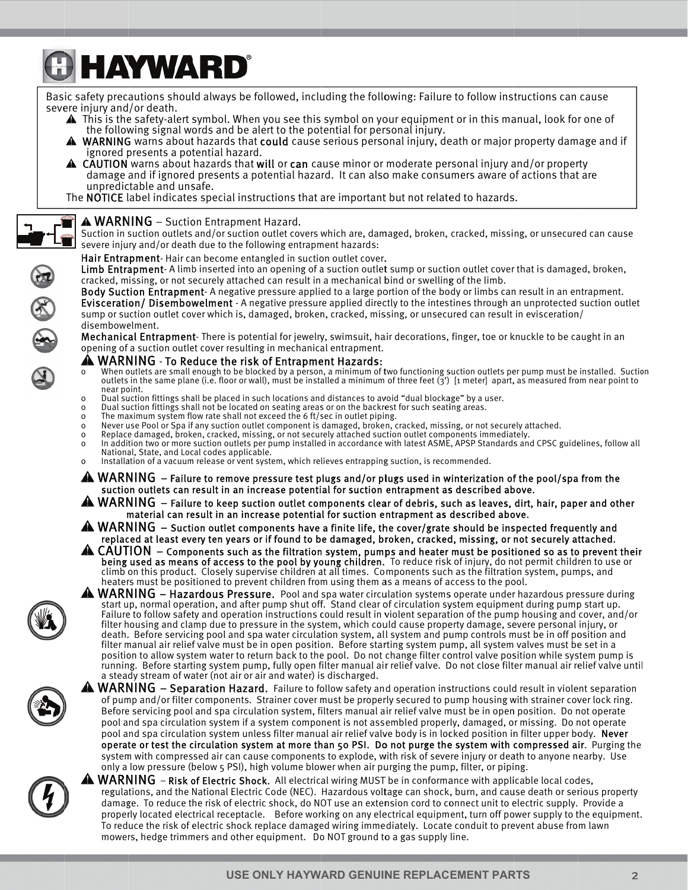# **& HAYWARD®**

Basic safety precautions should always be followed, including the following: Failure to follow instructions can cause severe injury and/or death.

- ▲ This is the safety-alert symbol. When you see this symbol on your equipment or in this manual, look for one of the following signal words and be alert to the potential for personal injury.
- WARNING warns about hazards that could cause serious personal injury, death or major property damage and if ▲ ignored presents a potential hazard.
- $\triangle$  CAUTION warns about hazards that will or can cause minor or moderate personal injury and/or property damage and if ignored presents a potential hazard. It can also make consumers aware of actions that are unpredictable and unsafe.

The NOTICE label indicates special instructions that are important but not related to hazards.

#### $\triangle$  WARNING – Suction Entrapment Hazard.

Suction in suction outlets and/or suction outlet covers which are, damaged, broken, cracked, missing, or unsecured can cause severe injury and/or death due to the following entrapment hazards:

#### Hair Entrapment-Hair can become entangled in suction outlet cover.

Limb Entrapment-A limb inserted into an opening of a suction outlet sump or suction outlet cover that is damaged, broken, cracked, missing, or not securely attached can result in a mechanical bind or swelling of the limb.

Body Suction Entrapment-A negative pressure applied to a large portion of the body or limbs can result in an entrapment. Evisceration/ Disembowelment - A negative pressure applied directly to the intestines through an unprotected suction outlet sump or suction outlet cover which is, damaged, broken, cracked, missing, or unsecured can result in evisceration/ disembowelment.

Mechanical Entrapment-There is potential for jewelry, swimsuit, hair decorations, finger, toe or knuckle to be caught in an opening of a suction outlet cover resulting in mechanical entrapment.

#### **A WARNING** - To Reduce the risk of Entrapment Hazards:

- When outlets are small enough to be blocked by a person, a minimum of two functioning suction outlets per pump must be installed. Suction<br>outlets in the same plane (i.e. floor or wall), must be installed a minimum of three  $\Omega$ near point.
- Dual suction fittings shall be placed in such locations and distances to avoid "dual blockage" bv a user.  $\Omega$
- Dual suction fittings shall not be located on seating areas or on the backrest for such seating areas.  $\Omega$
- The maximum system flow rate shall not exceed the 6 ft/sec in outlet piping.  $\Omega$
- Never use Pool or Spa if any suction outlet component is damaged, broken, cracked, missing, or not securely attached.  $\Omega$
- Replace damaged, broken, cracked, missing, or not securely attached suction outlet components immediately.  $\Omega$
- In addition two or more suction outlets per pump installed in accordance with latest ASME, APSP Standards and CPSC guidelines, follow all  $\mathsf{o}\xspace$ National, State, and Local codes applicable.
- Installation of a vacuum release or vent system, which relieves entrapping suction, is recommended.  $\Omega$
- $\triangle$  WARNING  $-$  Failure to remove pressure test plugs and/or plugs used in winterization of the pool/spa from the suction outlets can result in an increase potential for suction entrapment as described above.
- $\bf A$  WARNING  $\bf -$  Failure to keep suction outlet components clear of debris, such as leaves, dirt, hair, paper and other material can result in an increase potential for suction entrapment as described above.
- $\spadesuit$  WARNING  $\:$  Suction outlet components have a finite life, the cover/grate should be inspected frequently and replaced at least every ten years or if found to be damaged, broken, cracked, missing, or not securely attached.
- A CAUTION Components such as the filtration system, pumps and heater must be positioned so as to prevent their<br>being used as means of access to the pool by young children. To reduce risk of injury, do not permit children climb on this product. Closely supervise children at all times. Components such as the filtration system, pumps, and heaters must be positioned to prevent children from using them as a means of access to the pool.
- **A WARNING** Hazardous Pressure. Pool and spa water circulation systems operate under hazardous pressure during<br>start up, normal operation, and after pump shut off. Stand clear of circulation system equipment during pump Failure to follow safety and operation instructions could result in violent separation of the pump housing and cover, and/or filter housing and clamp due to pressure in the system, which could cause property damage, severe personal injury, or death. Before servicing pool and spa water circulation system, all system and pump controls must be in off position and filter manual air relief valve must be in open position. Before starting system pump, all system valves must be set in a position to allow system water to return back to the pool. Do not change filter control valve position while system pump is running. Before starting system pump, fully open filter manual air relief valve. Do not close filter manual air relief valve until a steady stream of water (not air or air and water) is discharged.
- 

五

 $\blacktriangle$  WARNING  $-$  Separation Hazard. Failure to follow safety and operation instructions could result in violent separation of pump and/or filter components. Strainer cover must be properly secured to pump housing with strainer cover lock ring. Before servicing pool and spa circulation system, filters manual air relief valve must be in open position. Do not operate pool and spa circulation system if a system component is not assembled properly, damaged, or missing. Do not operate pool and spa circulation system unless filter manual air relief valve body is in locked position in filter upper body. Never operate or test the circulation system at more than 50 PSI. Do not purge the system with compressed air. Purging the system with compressed air can cause components to explode, with risk of severe injury or death to anyone nearby. Use only a low pressure (below 5 PSI), high volume blower when air purging the pump, filter, or piping.



 $\blacktriangle$  WARNING – Risk of Electric Shock. All electrical wiring MUST be in conformance with applicable local codes, regulations, and the National Electric Code (NEC). Hazardous voltage can shock, burn, and cause death or serious property damage. To reduce the risk of electric shock, do NOT use an extension cord to connect unit to electric supply. Provide a properly located electrical receptacle. Before working on any electrical equipment, turn off power supply to the equipment. To reduce the risk of electric shock replace damaged wiring immediately. Locate conduit to prevent abuse from lawn mowers, hedge trimmers and other equipment. Do NOT ground to a gas supply line.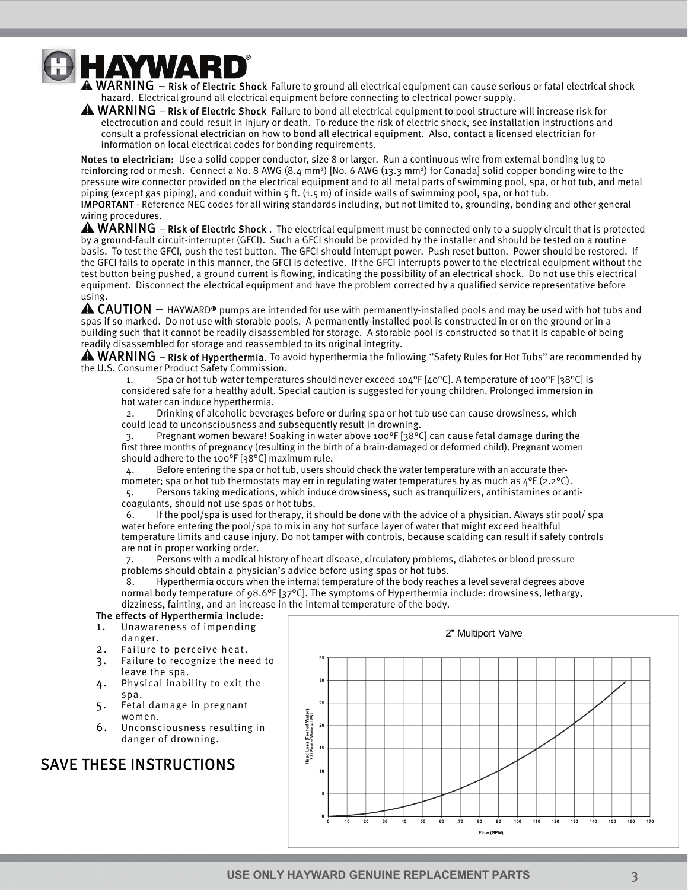

WARD<sup>®</sup><br>A WARNING – Risk of Electric Shock Failure to ground all electrical equipment can cause serious or fatal electrical shock hazard. Electrical ground all electrical equipment before connecting to electrical power supply.

 $\triangle$  WARNING – Risk of Electric Shock Failure to bond all electrical equipment to pool structure will increase risk for electrocution and could result in injury or death. To reduce the risk of electric shock, see installation instructions and consult a professional electrician on how to bond all electrical equipment. Also, contact a licensed electrician for information on local electrical codes for bonding requirements.

Notes to electrician: Use a solid copper conductor, size 8 or larger. Run a continuous wire from external bonding lug to reinforcing rod or mesh. Connect a No. 8 AWG  $(8.4 \text{ mm}^2)$  [No. 6 AWG  $(13.3 \text{ mm}^2)$  for Canada] solid copper bonding wire to the pressure wire connector provided on the electrical equipment and to all metal parts of swimming pool, spa, or hot tub, and metal piping (except gas piping), and conduit within 5 ft. (1.5 m) of inside walls of swimming pool, spa, or hot tub.

IMPORTANT - Reference NEC codes for all wiring standards including, but not limited to, grounding, bonding and other general wiring procedures.

 $\triangle$  WARNING – Risk of Electric Shock. The electrical equipment must be connected only to a supply circuit that is protected by a ground-fault circuit-interrupter (GFCI). Such a GFCI should be provided by the installer and should be tested on a routine basis. To test the GFCI, push the test button. The GFCI should interrupt power. Push reset button. Power should be restored. If the GFCI fails to operate in this manner, the GFCI is defective. If the GFCI interrupts power to the electrical equipment without the test button being pushed, a ground current is flowing, indicating the possibility of an electrical shock. Do not use this electrical equipment. Disconnect the electrical equipment and have the problem corrected by a qualified service representative before using.

 $\triangle$  CAUTION  $-$  HAYWARD® pumps are intended for use with permanently-installed pools and may be used with hot tubs and spas if so marked. Do not use with storable pools. A permanently-installed pool is constructed in or on the ground or in a building such that it cannot be readily disassembled for storage. A storable pool is constructed so that it is capable of being readily disassembled for storage and reassembled to its original integrity.

 $\clubsuit$  WARNING – Risk of Hyperthermia. To avoid hyperthermia the following "Safety Rules for Hot Tubs" are recommended by the U.S. Consumer Product Safety Commission.

1. Spa or hot tub water temperatures should never exceed 104 $^{\circ}$ F [40 $^{\circ}$ C]. A temperature of 100 $^{\circ}$ F [38 $^{\circ}$ C] is considered safe for a healthy adult. Special caution is suggested for young children. Prolonged immersion in hot water can induce hyperthermia.

Drinking of alcoholic beverages before or during spa or hot tub use can cause drowsiness, which could lead to unconsciousness and subsequently result in drowning.

3. Pregnant women beware! Soaking in water above 100°F [38°C] can cause fetal damage during the first three months of pregnancy (resulting in the birth of a brain-damaged or deformed child). Pregnant women should adhere to the 100°F [38°C] maximum rule.

4. Before entering the spa or hot tub, users should check the water temperature with an accurate thermometer; spa or hot tub thermostats may err in regulating water temperatures by as much as  $4^{\circ}F(2.2^{\circ}C)$ .

5. Persons taking medications, which induce drowsiness, such as tranquilizers, antihistamines or anticoagulants, should not use spas or hot tubs.

6. If the pool/spa is used for therapy, it should be done with the advice of a physician. Always stir pool/ spa water before entering the pool/spa to mix in any hot surface layer of water that might exceed healthful temperature limits and cause injury. Do not tamper with controls, because scalding can result if safety controls are not in proper working order.

7. Persons with a medical history of heart disease, circulatory problems, diabetes or blood pressure problems should obtain a physician's advice before using spas or hot tubs.

8. Hyperthermia occurs when the internal temperature of the body reaches a level several degrees above normal body temperature of 98.6<sup>o</sup>F [37<sup>o</sup>C]. The symptoms of Hyperthermia include: drowsiness, lethargy, dizziness, fainting, and an increase in the internal temperature of the body.

#### The effects of Hyperthermia include:

- 1. Unawareness of impending danger.
- 2. Failure to perceive heat.
- 3. Failure to recognize the need to leave the spa.
- 4. Physical inability to exit the spa.
- 5. Fetal damage in pregnant women.
- 6. Unconsciousness resulting in danger of drowning.

#### SAVE THESE INSTRUCTIONS